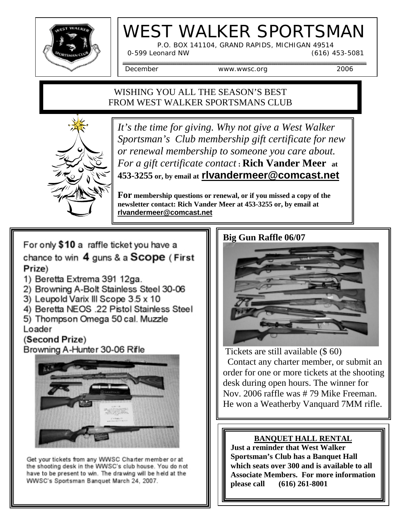

# WEST WALKER SPORTSMAN

P.O. BOX 141104, GRAND RAPIDS, MICHIGAN 49514

0-599 Leonard NW (616) 453-5081

December www.wwsc.org 2006

## WISHING YOU ALL THE SEASON'S BEST FROM WEST WALKER SPORTSMANS CLUB



*It's the time for giving. Why not give a West Walker Sportsman's Club membership gift certificate for new or renewal membership to someone you care about. For a gift certificate contact* **: Rich Vander Meer at 453-3255 or, by email at rlvandermeer@comcast.net**

**For membership questions or renewal, or if you missed a copy of the newsletter contact: Rich Vander Meer at 453-3255 or, by email at rlvandermeer@comcast.net**

For only \$10 a raffle ticket you have a chance to win 4 guns & a Scope (First Prize)

- 1) Beretta Extrema 391 12ga.
- 2) Browning A-Bolt Stainless Steel 30-06
- 3) Leupold Varix III Scope 3.5 x 10
- 4) Beretta NEOS .22 Pistol Stainless Steel
- 5) Thompson Omega 50 cal. Muzzle Loader

# (Second Prize)

Browning A-Hunter 30-06 Rifle



Get your tickets from any WWSC Charter member or at the shooting desk in the WWSC's club house. You do not have to be present to win. The drawing will be held at the WWSC's Sportsman Banquet March 24, 2007.

### **Big Gun Raffle 06/07**



 Tickets are still available (\$ 60) Contact any charter member, or submit an order for one or more tickets at the shooting desk during open hours. The winner for Nov. 2006 raffle was # 79 Mike Freeman. He won a Weatherby Vanquard 7MM rifle.

## **BANQUET HALL RENTAL**

**Just a reminder that West Walker Sportsman's Club has a Banquet Hall which seats over 300 and is available to all Associate Members. For more information please call (616) 261-8001**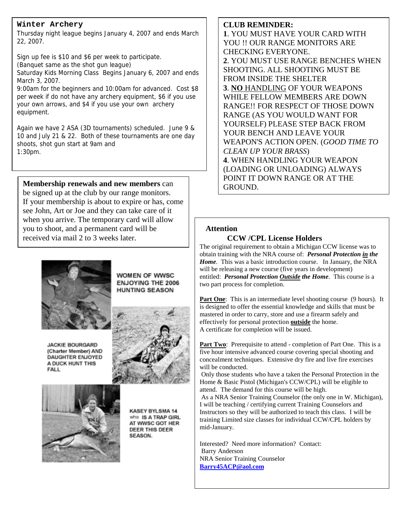#### **Winter Archery**

Thursday night league begins January 4, 2007 and ends March 22, 2007.

Sign up fee is \$10 and \$6 per week to participate. (Banquet same as the shot gun league) Saturday Kids Morning Class Begins January 6, 2007 and ends March 3, 2007. 9:00am for the beginners and 10:00am for advanced. Cost \$8

per week if do not have any archery equipment, \$6 if you use your own arrows, and \$4 if you use your own archery equipment.

Again we have 2 ASA (3D tournaments) scheduled. June 9 & 10 and July 21 & 22. Both of these tournaments are one day shoots, shot gun start at 9am and 1:30pm.

be signed up at the club by our range monitors. If your membership is about to expire or has, come see John, Art or Joe and they can take care of it when you arrive. The temporary card will allow you to shoot, and a permanent card will be received via mail 2 to 3 weeks later.



**JACKIE BOURGARD** (Charter Member) AND DAUGHTER ENJOYED A DUCK HUNT THIS FALL



WOMEN OF WWSC **ENJOYING THE 2006 HUNTING SEASON** 



**KASEY BYLSMA 14** who IS A TRAP GIRL AT WWSC GOT HER DEER THIS DEER SEASON.

#### **CLUB REMINDER:**

**1**. YOU MUST HAVE YOUR CARD WITH YOU !! OUR RANGE MONITORS ARE CHECKING EVERYONE. **2**. YOU MUST USE RANGE BENCHES WHEN SHOOTING. ALL SHOOTING MUST BE FROM INSIDE THE SHELTER **3**. **NO** HANDLING OF YOUR WEAPONS WHILE FELLOW MEMBERS ARE DOWN RANGE!! FOR RESPECT OF THOSE DOWN RANGE (AS YOU WOULD WANT FOR YOURSELF) PLEASE STEP BACK FROM YOUR BENCH AND LEAVE YOUR WEAPON'S ACTION OPEN. (*GOOD TIME TO CLEAN UP YOUR BRASS*) **4**. WHEN HANDLING YOUR WEAPON (LOADING OR UNLOADING) ALWAYS **Membership renewals and new members** can **all and the CROUND.** CROUND.

#### **Attention**

#### **CCW /CPL License Holders**

The original requirement to obtain a Michigan CCW license was to obtain training with the NRA course of: *Personal Protection in the Home.* This was a basic introduction course. In January, the NRA will be releasing a new course (five years in development) entitled: *Personal Protection Outside the Home.* This course is a two part process for completion.

**Part One**: This is an intermediate level shooting course (9 hours). It is designed to offer the essential knowledge and skills that must be mastered in order to carry, store and use a firearm safely and effectively for personal protection **outside** the home. A certificate for completion will be issued.

Part Two: Prerequisite to attend - completion of Part One. This is a five hour intensive advanced course covering special shooting and concealment techniques. Extensive dry fire and live fire exercises will be conducted.

 Only those students who have a taken the Personal Protection in the Home & Basic Pistol (Michigan's CCW/CPL) will be eligible to attend. The demand for this course will be high.

 As a NRA Senior Training Counselor (the only one in W. Michigan), I will be teaching / certifying current Training Counselors and Instructors so they will be authorized to teach this class. I will be training Limited size classes for individual CCW/CPL holders by mid-January.

Interested? Need more information? Contact: Barry Anderson NRA Senior Training Counselor **Barry45ACP@aol.com**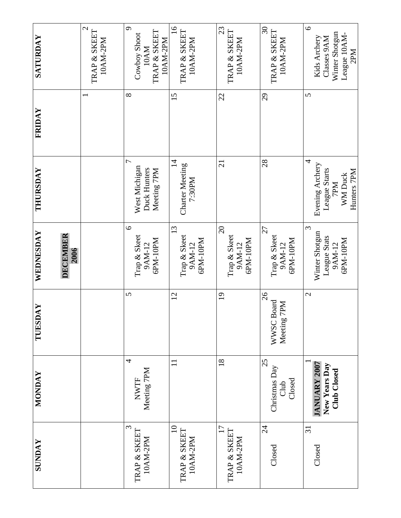| <b>SATURDAY</b>               | $\mathcal{L}$<br>TRAP & SKEET<br>10AM-2PM | $\sigma$<br>TRAP & SKEET<br>Cowboy Shoot<br>10AM-2PM<br>10AM   | $\overline{16}$<br>TRAP & SKEET<br>10AM-2PM        | 23<br>TRAP & SKEET<br>10AM-2PM                 | $\overline{\mathcal{E}}$<br>TRAP & SKEET<br>10AM-2PM   | $\circ$<br>Winter Shotgun<br>League 10AM-<br>Kids Archery<br>Classes 9AM<br>2PM |
|-------------------------------|-------------------------------------------|----------------------------------------------------------------|----------------------------------------------------|------------------------------------------------|--------------------------------------------------------|---------------------------------------------------------------------------------|
| FRIDAY                        |                                           | $\infty$                                                       | 15                                                 | 22                                             | 29                                                     | $\mathbf{v}$                                                                    |
| THURSDAY                      |                                           | $\overline{ }$<br>West Michigan<br>Duck Hunters<br>Meeting 7PM | $\overline{4}$<br><b>Charter Meeting</b><br>7:30PM | 21                                             | 28                                                     | 4<br>Evening Archery<br>League Starts<br>Hunters 7PM<br>WM Duck<br>7PM          |
| WEDNESDAY<br>DECEMBER<br>2006 |                                           | $\circ$<br>Trap & Skeet<br>6PM-10PM<br>9AM-12                  | 13<br>Trap & Skeet<br>GPM-10PM<br>9AM-12           | $\Omega$<br>Trap & Skeet<br>6PM-10PM<br>9AM-12 | 27<br>Trap & Skeet<br>GPM-10PM<br>9AM-12               | $\mathfrak{c}$<br>Winter Shotgun<br>League Stats<br>6PM-10PM<br>9AM-12          |
| MAY<br>TUESD                  |                                           | $\mathbf{v}$                                                   | $\overline{2}$                                     | $\overline{19}$                                | 26<br><b>Board</b><br>Meeting 7PM<br>WWSC <sub>1</sub> | $\mathbf{C}$                                                                    |
| <b>NONDAY</b>                 |                                           | 4<br>Meeting 7PM<br><b>NWTF</b>                                | $\Box$                                             | 18                                             | 25<br>Christmas Day<br>Closed<br>Club                  | <b>JANUARY 2007</b><br>New Years Day<br>Club Closed                             |
| <b>SUNDAY</b>                 |                                           | $\epsilon$<br>TRAP & SKEET<br>10AM-2PM                         | $\Omega$<br>TRAP & SKEET<br>10AM-2PM               | 17<br>TRAP & SKEET<br>10AM-2PM                 | $\overline{24}$<br>Closed                              | $\overline{31}$<br>Closed                                                       |